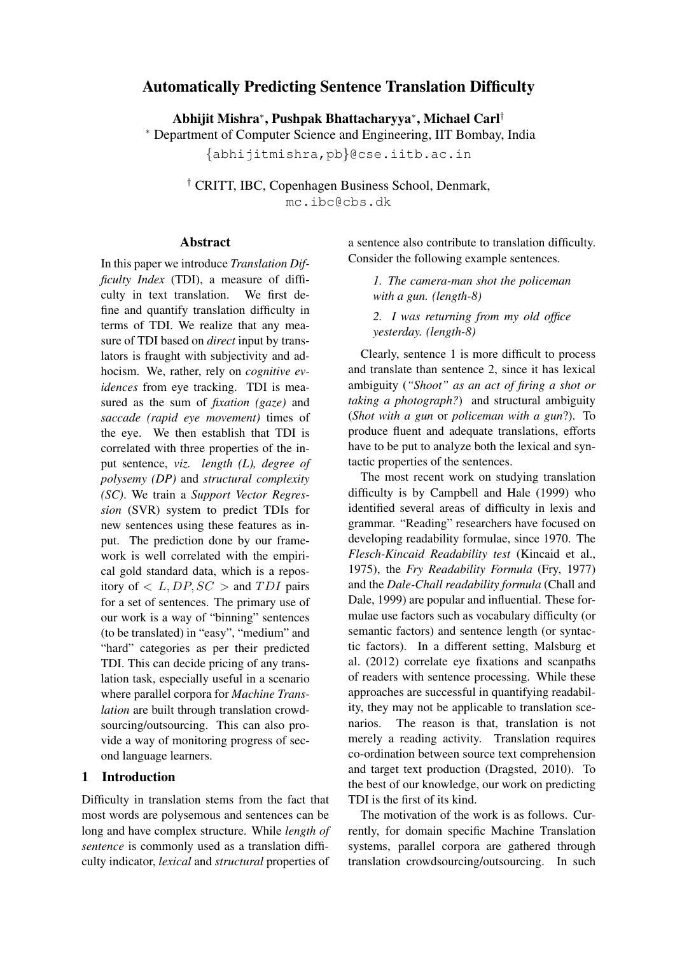# Automatically Predicting Sentence Translation Difficulty

Abhijit Mishra<sup>∗</sup> , Pushpak Bhattacharyya<sup>∗</sup> , Michael Carl†

<sup>∗</sup> Department of Computer Science and Engineering, IIT Bombay, India

{abhijitmishra,pb}@cse.iitb.ac.in

† CRITT, IBC, Copenhagen Business School, Denmark, mc.ibc@cbs.dk

### Abstract

In this paper we introduce *Translation Difficulty Index* (TDI), a measure of difficulty in text translation. We first define and quantify translation difficulty in terms of TDI. We realize that any measure of TDI based on *direct* input by translators is fraught with subjectivity and adhocism. We, rather, rely on *cognitive evidences* from eye tracking. TDI is measured as the sum of *fixation (gaze)* and *saccade (rapid eye movement)* times of the eye. We then establish that TDI is correlated with three properties of the input sentence, *viz. length (L), degree of polysemy (DP)* and *structural complexity (SC)*. We train a *Support Vector Regression* (SVR) system to predict TDIs for new sentences using these features as input. The prediction done by our framework is well correlated with the empirical gold standard data, which is a repository of  $\langle L, DP, SC \rangle$  and  $TDI$  pairs for a set of sentences. The primary use of our work is a way of "binning" sentences (to be translated) in "easy", "medium" and "hard" categories as per their predicted TDI. This can decide pricing of any translation task, especially useful in a scenario where parallel corpora for *Machine Translation* are built through translation crowdsourcing/outsourcing. This can also provide a way of monitoring progress of second language learners.

## 1 Introduction

Difficulty in translation stems from the fact that most words are polysemous and sentences can be long and have complex structure. While *length of sentence* is commonly used as a translation difficulty indicator, *lexical* and *structural* properties of

a sentence also contribute to translation difficulty. Consider the following example sentences.

> *1. The camera-man shot the policeman with a gun. (length-8)*

> *2. I was returning from my old office yesterday. (length-8)*

Clearly, sentence 1 is more difficult to process and translate than sentence 2, since it has lexical ambiguity (*"Shoot" as an act of firing a shot or taking a photograph?*) and structural ambiguity (*Shot with a gun* or *policeman with a gun*?). To produce fluent and adequate translations, efforts have to be put to analyze both the lexical and syntactic properties of the sentences.

The most recent work on studying translation difficulty is by Campbell and Hale (1999) who identified several areas of difficulty in lexis and grammar. "Reading" researchers have focused on developing readability formulae, since 1970. The *Flesch-Kincaid Readability test* (Kincaid et al., 1975), the *Fry Readability Formula* (Fry, 1977) and the *Dale-Chall readability formula* (Chall and Dale, 1999) are popular and influential. These formulae use factors such as vocabulary difficulty (or semantic factors) and sentence length (or syntactic factors). In a different setting, Malsburg et al. (2012) correlate eye fixations and scanpaths of readers with sentence processing. While these approaches are successful in quantifying readability, they may not be applicable to translation scenarios. The reason is that, translation is not merely a reading activity. Translation requires co-ordination between source text comprehension and target text production (Dragsted, 2010). To the best of our knowledge, our work on predicting TDI is the first of its kind.

The motivation of the work is as follows. Currently, for domain specific Machine Translation systems, parallel corpora are gathered through translation crowdsourcing/outsourcing. In such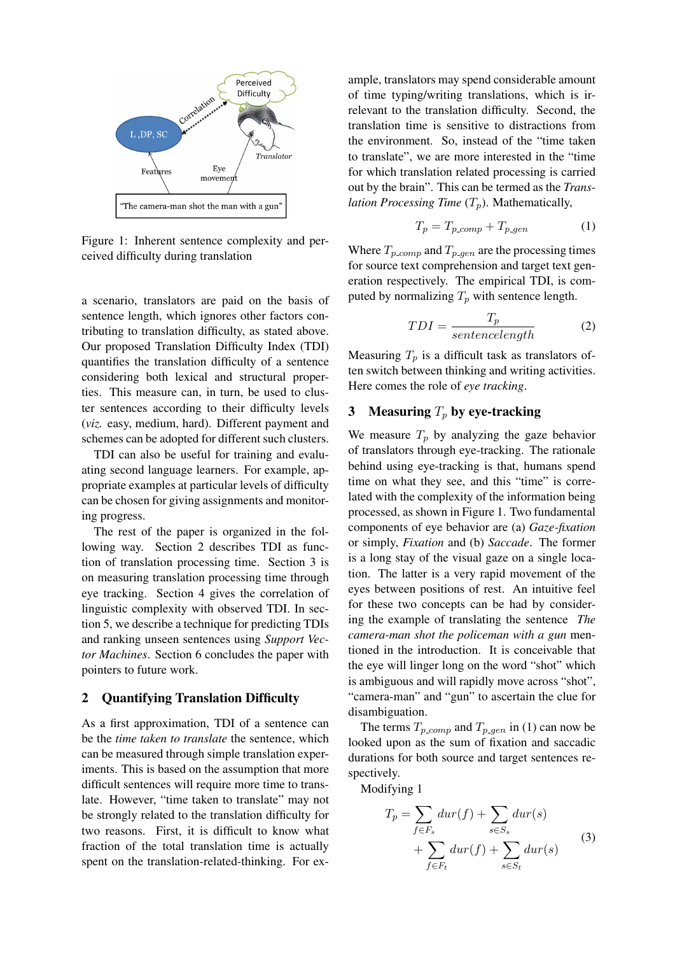

Figure 1: Inherent sentence complexity and perceived difficulty during translation

a scenario, translators are paid on the basis of sentence length, which ignores other factors contributing to translation difficulty, as stated above. Our proposed Translation Difficulty Index (TDI) quantifies the translation difficulty of a sentence considering both lexical and structural properties. This measure can, in turn, be used to cluster sentences according to their difficulty levels (*viz.* easy, medium, hard). Different payment and schemes can be adopted for different such clusters.

TDI can also be useful for training and evaluating second language learners. For example, appropriate examples at particular levels of difficulty can be chosen for giving assignments and monitoring progress.

The rest of the paper is organized in the following way. Section 2 describes TDI as function of translation processing time. Section 3 is on measuring translation processing time through eye tracking. Section 4 gives the correlation of linguistic complexity with observed TDI. In section 5, we describe a technique for predicting TDIs and ranking unseen sentences using *Support Vector Machines*. Section 6 concludes the paper with pointers to future work.

### 2 Quantifying Translation Difficulty

As a first approximation, TDI of a sentence can be the *time taken to translate* the sentence, which can be measured through simple translation experiments. This is based on the assumption that more difficult sentences will require more time to translate. However, "time taken to translate" may not be strongly related to the translation difficulty for two reasons. First, it is difficult to know what fraction of the total translation time is actually spent on the translation-related-thinking. For example, translators may spend considerable amount of time typing/writing translations, which is irrelevant to the translation difficulty. Second, the translation time is sensitive to distractions from the environment. So, instead of the "time taken to translate", we are more interested in the "time for which translation related processing is carried out by the brain". This can be termed as the *Translation Processing Time*  $(T_p)$ . Mathematically,

$$
T_p = T_{p\text{-}comp} + T_{p\text{-}gen} \tag{1}
$$

Where  $T_{p\text{-}comp}$  and  $T_{p\text{-}gen}$  are the processing times for source text comprehension and target text generation respectively. The empirical TDI, is computed by normalizing  $T_p$  with sentence length.

$$
TDI = \frac{T_p}{sentencelength} \tag{2}
$$

Measuring  $T_p$  is a difficult task as translators often switch between thinking and writing activities. Here comes the role of *eye tracking*.

## 3 Measuring  $T_p$  by eye-tracking

We measure  $T_p$  by analyzing the gaze behavior of translators through eye-tracking. The rationale behind using eye-tracking is that, humans spend time on what they see, and this "time" is correlated with the complexity of the information being processed, as shown in Figure 1. Two fundamental components of eye behavior are (a) *Gaze-fixation* or simply, *Fixation* and (b) *Saccade*. The former is a long stay of the visual gaze on a single location. The latter is a very rapid movement of the eyes between positions of rest. An intuitive feel for these two concepts can be had by considering the example of translating the sentence *The camera-man shot the policeman with a gun* mentioned in the introduction. It is conceivable that the eye will linger long on the word "shot" which is ambiguous and will rapidly move across "shot", "camera-man" and "gun" to ascertain the clue for disambiguation.

The terms  $T_{p_{\text{comp}}}$  and  $T_{p_{\text{gen}}}$  in (1) can now be looked upon as the sum of fixation and saccadic durations for both source and target sentences respectively.

Modifying 1

$$
T_p = \sum_{f \in F_s} dur(f) + \sum_{s \in S_s} dur(s)
$$
  
+ 
$$
\sum_{f \in F_t} dur(f) + \sum_{s \in S_t} dur(s)
$$
 (3)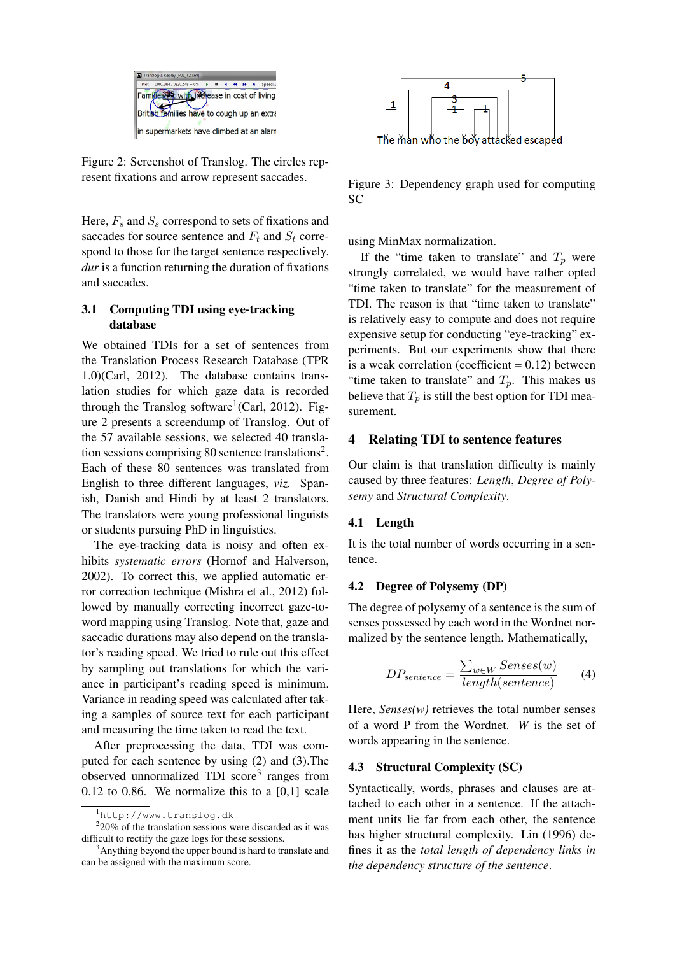

Figure 2: Screenshot of Translog. The circles represent fixations and arrow represent saccades.

Here,  $F_s$  and  $S_s$  correspond to sets of fixations and saccades for source sentence and  $F_t$  and  $S_t$  correspond to those for the target sentence respectively. *dur* is a function returning the duration of fixations and saccades.

## 3.1 Computing TDI using eye-tracking database

We obtained TDIs for a set of sentences from the Translation Process Research Database (TPR 1.0)(Carl, 2012). The database contains translation studies for which gaze data is recorded through the Translog software<sup>1</sup> (Carl, 2012). Figure 2 presents a screendump of Translog. Out of the 57 available sessions, we selected 40 translation sessions comprising 80 sentence translations<sup>2</sup>. Each of these 80 sentences was translated from English to three different languages, *viz.* Spanish, Danish and Hindi by at least 2 translators. The translators were young professional linguists or students pursuing PhD in linguistics.

The eye-tracking data is noisy and often exhibits *systematic errors* (Hornof and Halverson, 2002). To correct this, we applied automatic error correction technique (Mishra et al., 2012) followed by manually correcting incorrect gaze-toword mapping using Translog. Note that, gaze and saccadic durations may also depend on the translator's reading speed. We tried to rule out this effect by sampling out translations for which the variance in participant's reading speed is minimum. Variance in reading speed was calculated after taking a samples of source text for each participant and measuring the time taken to read the text.

After preprocessing the data, TDI was computed for each sentence by using (2) and (3).The observed unnormalized TDI score<sup>3</sup> ranges from  $0.12$  to 0.86. We normalize this to a  $[0,1]$  scale



Figure 3: Dependency graph used for computing SC

using MinMax normalization.

If the "time taken to translate" and  $T_p$  were strongly correlated, we would have rather opted "time taken to translate" for the measurement of TDI. The reason is that "time taken to translate" is relatively easy to compute and does not require expensive setup for conducting "eye-tracking" experiments. But our experiments show that there is a weak correlation (coefficient  $= 0.12$ ) between "time taken to translate" and  $T_p$ . This makes us believe that  $T_p$  is still the best option for TDI measurement.

## 4 Relating TDI to sentence features

Our claim is that translation difficulty is mainly caused by three features: *Length*, *Degree of Polysemy* and *Structural Complexity*.

#### 4.1 Length

It is the total number of words occurring in a sentence.

#### 4.2 Degree of Polysemy (DP)

The degree of polysemy of a sentence is the sum of senses possessed by each word in the Wordnet normalized by the sentence length. Mathematically,

$$
DP_{sentence} = \frac{\sum_{w \in W} Senses(w)}{length(sentence)} \tag{4}
$$

Here, *Senses(w)* retrieves the total number senses of a word P from the Wordnet. *W* is the set of words appearing in the sentence.

#### 4.3 Structural Complexity (SC)

Syntactically, words, phrases and clauses are attached to each other in a sentence. If the attachment units lie far from each other, the sentence has higher structural complexity. Lin (1996) defines it as the *total length of dependency links in the dependency structure of the sentence*.

<sup>1</sup>http://www.translog.dk

 $220\%$  of the translation sessions were discarded as it was difficult to rectify the gaze logs for these sessions.

<sup>&</sup>lt;sup>3</sup>Anything beyond the upper bound is hard to translate and can be assigned with the maximum score.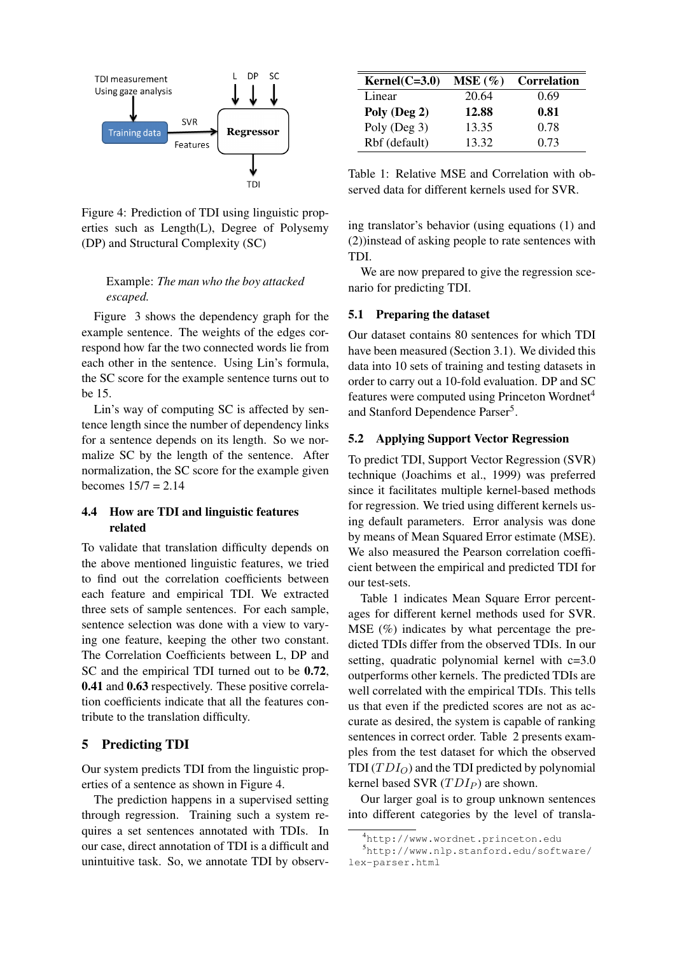

Figure 4: Prediction of TDI using linguistic properties such as Length(L), Degree of Polysemy (DP) and Structural Complexity (SC)

## Example: *The man who the boy attacked escaped.*

Figure 3 shows the dependency graph for the example sentence. The weights of the edges correspond how far the two connected words lie from each other in the sentence. Using Lin's formula, the SC score for the example sentence turns out to be 15.

Lin's way of computing SC is affected by sentence length since the number of dependency links for a sentence depends on its length. So we normalize SC by the length of the sentence. After normalization, the SC score for the example given becomes 15/7 = 2.14

### 4.4 How are TDI and linguistic features related

To validate that translation difficulty depends on the above mentioned linguistic features, we tried to find out the correlation coefficients between each feature and empirical TDI. We extracted three sets of sample sentences. For each sample, sentence selection was done with a view to varying one feature, keeping the other two constant. The Correlation Coefficients between L, DP and SC and the empirical TDI turned out to be 0.72, 0.41 and 0.63 respectively. These positive correlation coefficients indicate that all the features contribute to the translation difficulty.

## 5 Predicting TDI

Our system predicts TDI from the linguistic properties of a sentence as shown in Figure 4.

The prediction happens in a supervised setting through regression. Training such a system requires a set sentences annotated with TDIs. In our case, direct annotation of TDI is a difficult and unintuitive task. So, we annotate TDI by observ-

| $Kernel(C=3.0)$ | $MSE(\%)$ | <b>Correlation</b> |
|-----------------|-----------|--------------------|
| Linear          | 20.64     | 0.69               |
| Poly (Deg 2)    | 12.88     | 0.81               |
| Poly (Deg 3)    | 13.35     | 0.78               |
| Rbf (default)   | 13.32     | 0.73               |

Table 1: Relative MSE and Correlation with observed data for different kernels used for SVR.

ing translator's behavior (using equations (1) and (2))instead of asking people to rate sentences with TDI.

We are now prepared to give the regression scenario for predicting TDI.

#### 5.1 Preparing the dataset

Our dataset contains 80 sentences for which TDI have been measured (Section 3.1). We divided this data into 10 sets of training and testing datasets in order to carry out a 10-fold evaluation. DP and SC features were computed using Princeton Wordnet<sup>4</sup> and Stanford Dependence Parser<sup>5</sup>.

### 5.2 Applying Support Vector Regression

To predict TDI, Support Vector Regression (SVR) technique (Joachims et al., 1999) was preferred since it facilitates multiple kernel-based methods for regression. We tried using different kernels using default parameters. Error analysis was done by means of Mean Squared Error estimate (MSE). We also measured the Pearson correlation coefficient between the empirical and predicted TDI for our test-sets.

Table 1 indicates Mean Square Error percentages for different kernel methods used for SVR. MSE (%) indicates by what percentage the predicted TDIs differ from the observed TDIs. In our setting, quadratic polynomial kernel with c=3.0 outperforms other kernels. The predicted TDIs are well correlated with the empirical TDIs. This tells us that even if the predicted scores are not as accurate as desired, the system is capable of ranking sentences in correct order. Table 2 presents examples from the test dataset for which the observed TDI  $(TDI<sub>O</sub>)$  and the TDI predicted by polynomial kernel based SVR  $(TDI_P)$  are shown.

Our larger goal is to group unknown sentences into different categories by the level of transla-

<sup>4</sup>http://www.wordnet.princeton.edu

<sup>5</sup>http://www.nlp.stanford.edu/software/ lex-parser.html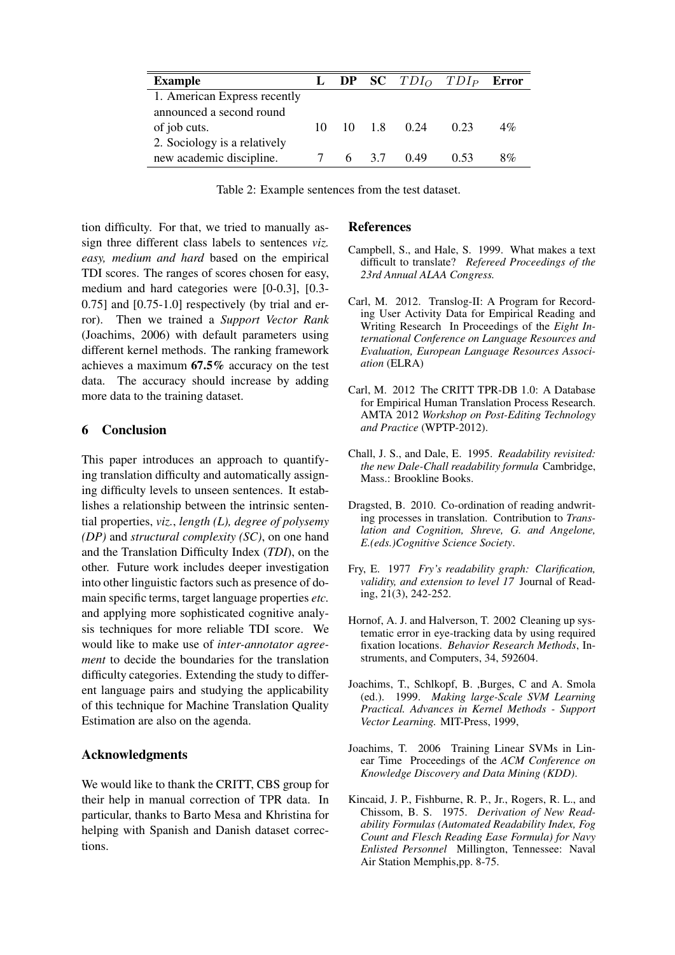| <b>Example</b>               |    |  |                        | <b>L</b> DP SC $TDI_O$ $TDI_P$ Error |       |
|------------------------------|----|--|------------------------|--------------------------------------|-------|
| 1. American Express recently |    |  |                        |                                      |       |
| announced a second round     |    |  |                        |                                      |       |
| of job cuts.                 | 10 |  | 10 1.8 0.24            | 0.23                                 | $4\%$ |
| 2. Sociology is a relatively |    |  |                        |                                      |       |
| new academic discipline.     |    |  | $6\quad 3.7\quad 0.49$ | 0.53                                 | 8%    |

Table 2: Example sentences from the test dataset.

tion difficulty. For that, we tried to manually assign three different class labels to sentences *viz. easy, medium and hard* based on the empirical TDI scores. The ranges of scores chosen for easy, medium and hard categories were [0-0.3], [0.3- 0.75] and [0.75-1.0] respectively (by trial and error). Then we trained a *Support Vector Rank* (Joachims, 2006) with default parameters using different kernel methods. The ranking framework achieves a maximum 67.5% accuracy on the test data. The accuracy should increase by adding more data to the training dataset.

## 6 Conclusion

This paper introduces an approach to quantifying translation difficulty and automatically assigning difficulty levels to unseen sentences. It establishes a relationship between the intrinsic sentential properties, *viz.*, *length (L), degree of polysemy (DP)* and *structural complexity (SC)*, on one hand and the Translation Difficulty Index (*TDI*), on the other. Future work includes deeper investigation into other linguistic factors such as presence of domain specific terms, target language properties *etc.* and applying more sophisticated cognitive analysis techniques for more reliable TDI score. We would like to make use of *inter-annotator agreement* to decide the boundaries for the translation difficulty categories. Extending the study to different language pairs and studying the applicability of this technique for Machine Translation Quality Estimation are also on the agenda.

# Acknowledgments

We would like to thank the CRITT, CBS group for their help in manual correction of TPR data. In particular, thanks to Barto Mesa and Khristina for helping with Spanish and Danish dataset corrections.

## References

- Campbell, S., and Hale, S. 1999. What makes a text difficult to translate? *Refereed Proceedings of the 23rd Annual ALAA Congress.*
- Carl, M. 2012. Translog-II: A Program for Recording User Activity Data for Empirical Reading and Writing Research In Proceedings of the *Eight International Conference on Language Resources and Evaluation, European Language Resources Association* (ELRA)
- Carl, M. 2012 The CRITT TPR-DB 1.0: A Database for Empirical Human Translation Process Research. AMTA 2012 *Workshop on Post-Editing Technology and Practice* (WPTP-2012).
- Chall, J. S., and Dale, E. 1995. *Readability revisited: the new Dale-Chall readability formula* Cambridge, Mass.: Brookline Books.
- Dragsted, B. 2010. Co-ordination of reading andwriting processes in translation. Contribution to *Translation and Cognition, Shreve, G. and Angelone, E.(eds.)Cognitive Science Society*.
- Fry, E. 1977 *Fry's readability graph: Clarification, validity, and extension to level 17* Journal of Reading, 21(3), 242-252.
- Hornof, A. J. and Halverson, T. 2002 Cleaning up systematic error in eye-tracking data by using required fixation locations. *Behavior Research Methods*, Instruments, and Computers, 34, 592604.
- Joachims, T., Schlkopf, B. ,Burges, C and A. Smola (ed.). 1999. *Making large-Scale SVM Learning Practical. Advances in Kernel Methods - Support Vector Learning.* MIT-Press, 1999,
- Joachims, T. 2006 Training Linear SVMs in Linear Time Proceedings of the *ACM Conference on Knowledge Discovery and Data Mining (KDD)*.
- Kincaid, J. P., Fishburne, R. P., Jr., Rogers, R. L., and Chissom, B. S. 1975. *Derivation of New Readability Formulas (Automated Readability Index, Fog Count and Flesch Reading Ease Formula) for Navy Enlisted Personnel* Millington, Tennessee: Naval Air Station Memphis,pp. 8-75.